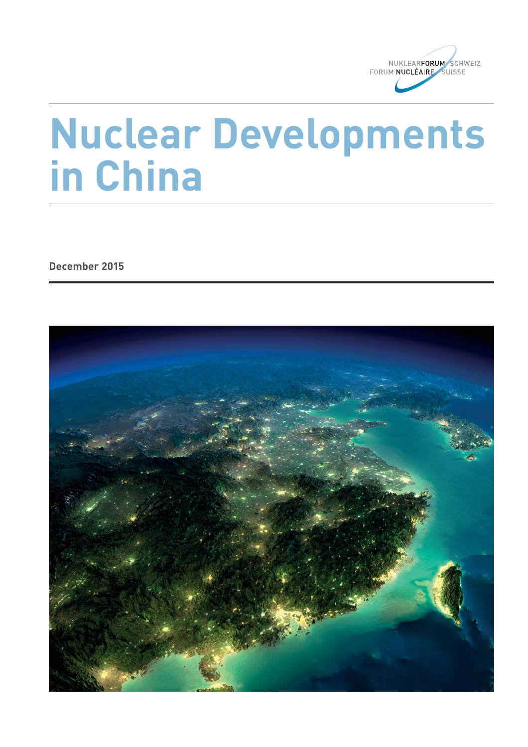

# **Nuclear Developments in China**

**December 2015**

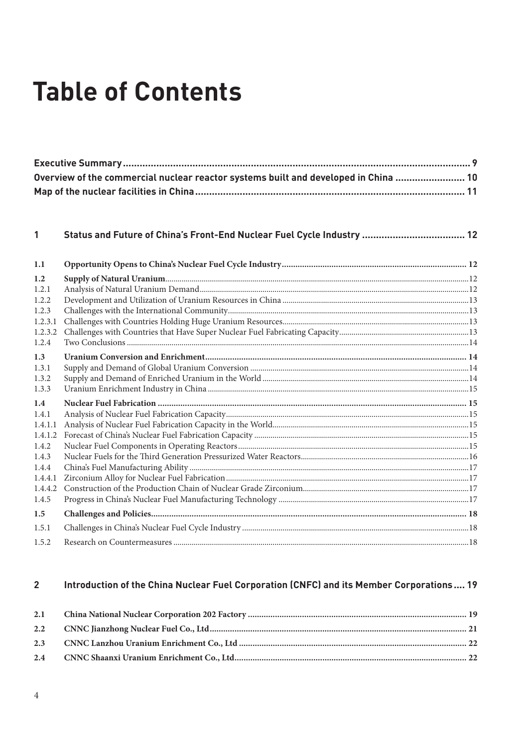# **Table of Contents**

| Overview of the commercial nuclear reactor systems built and developed in China  10 |  |
|-------------------------------------------------------------------------------------|--|
|                                                                                     |  |

#### $\mathbf{1}$

| 1.1     |  |
|---------|--|
| 1.2     |  |
| 1.2.1   |  |
| 1.2.2.  |  |
| 1.2.3   |  |
| 1.2.3.1 |  |
| 1.2.3.2 |  |
| 1.2.4   |  |
| 1.3     |  |
| 1.3.1   |  |
| 1.3.2   |  |
| 1.3.3   |  |
| 1.4     |  |
| 1.4.1   |  |
| 1.4.1.1 |  |
| 1.4.1.2 |  |
| 1.4.2   |  |
| 1.4.3   |  |
| 1.4.4   |  |
| 1.4.4.1 |  |
| 1.4.4.2 |  |
| 1.4.5   |  |
| 1.5     |  |
| 1.5.1   |  |
| 1.5.2   |  |

#### Introduction of the China Nuclear Fuel Corporation (CNFC) and its Member Corporations.... 19  $\overline{2}$

| 2.1 |  |
|-----|--|
|     |  |
|     |  |
|     |  |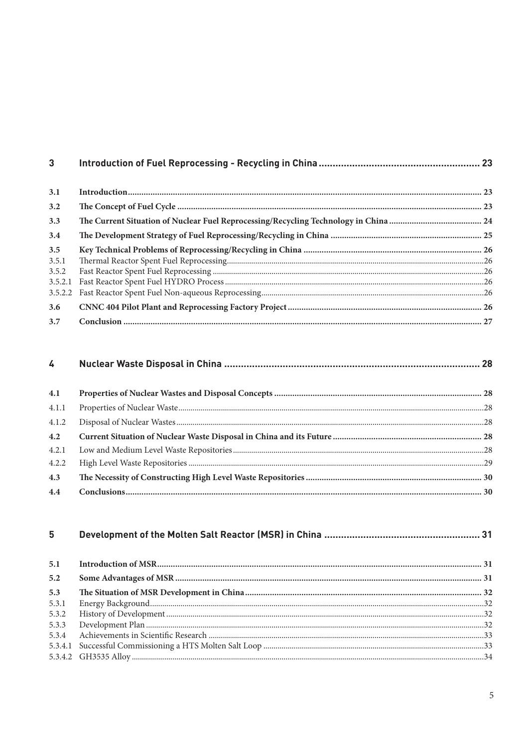| 3 <sup>1</sup> |  |
|----------------|--|
| 3.1            |  |
| 3.2            |  |
| 3.3            |  |
| 3.4            |  |
| 3.5            |  |
| 3.5.1          |  |
| 3.5.2          |  |
| 3.5.2.1        |  |
| 3.5.2.2        |  |
| 3.6            |  |
| 3.7            |  |

| 4.1   |  |
|-------|--|
| 4.1.1 |  |
|       |  |
|       |  |
|       |  |
| 4.2.2 |  |
| 4.3   |  |
| 4.4   |  |

| 5     |  |
|-------|--|
| 5.1   |  |
| 5.2   |  |
| 5.3   |  |
| 5.3.1 |  |
| 5.3.2 |  |
| 5.3.3 |  |
| 5.3.4 |  |
|       |  |
|       |  |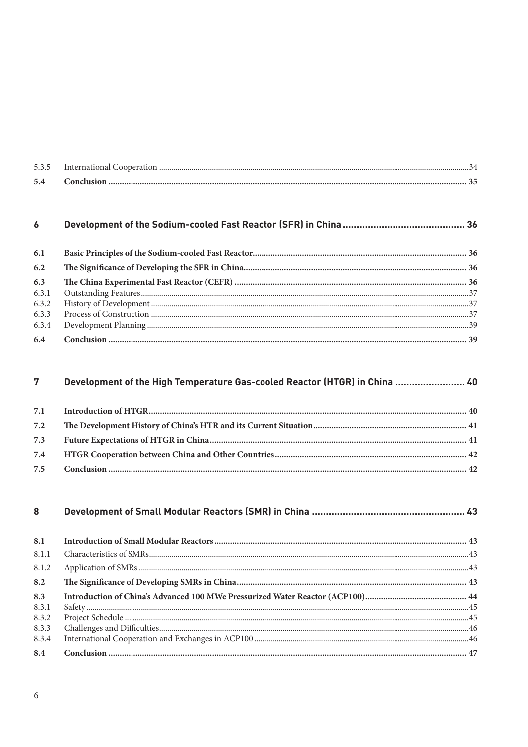#### $\boldsymbol{6}$

| 6.2 |  |
|-----|--|
| 6.3 |  |
|     |  |
|     |  |
|     |  |
|     |  |
|     |  |

#### Development of the High Temperature Gas-cooled Reactor (HTGR) in China ........................ 40  $\overline{7}$

| 8            |  |
|--------------|--|
| 8.1          |  |
| 8.1.1        |  |
| 8.1.2        |  |
| 8.2          |  |
| 8.3<br>8.3.1 |  |
| 8.3.2        |  |
| 8.3.3        |  |
| 8.3.4        |  |
| 8.4          |  |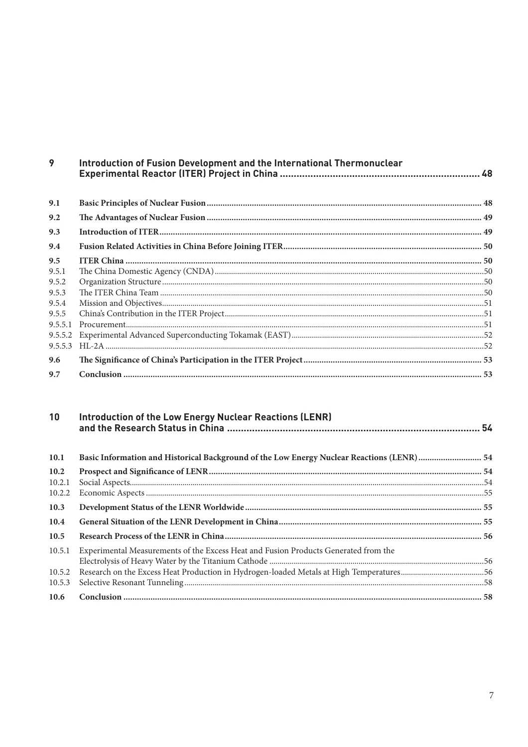| 9       | Introduction of Fusion Development and the International Thermonuclear |  |
|---------|------------------------------------------------------------------------|--|
| 9.1     |                                                                        |  |
| 9.2     |                                                                        |  |
| 9.3     |                                                                        |  |
| 9.4     |                                                                        |  |
| 9.5     |                                                                        |  |
| 9.5.1   |                                                                        |  |
| 9.5.2   |                                                                        |  |
| 9.5.3   |                                                                        |  |
| 9.5.4   |                                                                        |  |
| 9.5.5   |                                                                        |  |
| 9.5.5.1 | $Procurrent. 51$                                                       |  |
| 9.5.5.2 |                                                                        |  |
| 9.5.5.3 |                                                                        |  |
| 9.6     |                                                                        |  |
| 9.7     |                                                                        |  |

| 10     | <b>Introduction of the Low Energy Nuclear Reactions (LENR)</b>                             |  |
|--------|--------------------------------------------------------------------------------------------|--|
| 10.1   | Basic Information and Historical Background of the Low Energy Nuclear Reactions (LENR)  54 |  |
| 10.2   |                                                                                            |  |
| 10.2.1 |                                                                                            |  |
| 10.2.2 |                                                                                            |  |
| 10.3   |                                                                                            |  |
| 10.4   |                                                                                            |  |
| 10.5   |                                                                                            |  |
| 10.5.1 | Experimental Measurements of the Excess Heat and Fusion Products Generated from the        |  |
|        |                                                                                            |  |
| 10.5.2 |                                                                                            |  |
| 10.5.3 |                                                                                            |  |
| 10.6   |                                                                                            |  |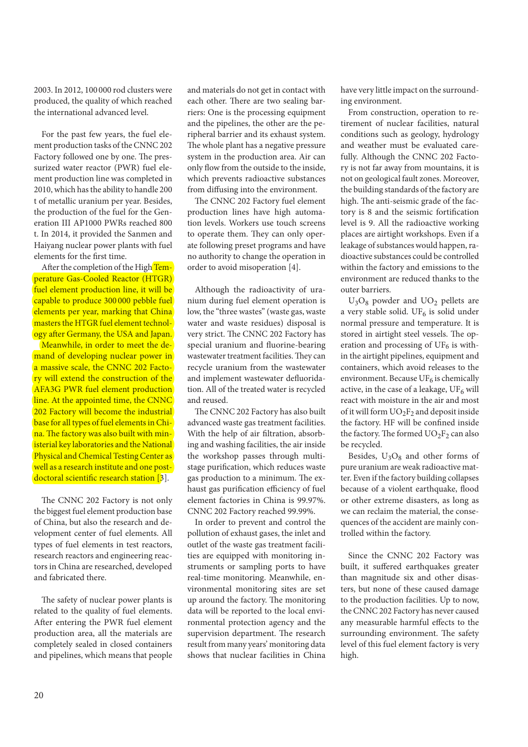2003. In 2012, 100 000 rod clusters were produced, the quality of which reached the international advanced level.

For the past few years, the fuel element production tasks of the CNNC 202 Factory followed one by one. The pressurized water reactor (PWR) fuel element production line was completed in 2010, which has the ability to handle 200 t of metallic uranium per year. Besides, the production of the fuel for the Generation III AP1000 PWRs reached 800 t. In 2014, it provided the Sanmen and Haiyang nuclear power plants with fuel elements for the first time.

After the completion of the High Temperature Gas-Cooled Reactor (HTGR) fuel element production line, it will be capable to produce 300 000 pebble fuel elements per year, marking that China masters the HTGR fuel element technology after Germany, the USA and Japan.

Meanwhile, in order to meet the demand of developing nuclear power in a massive scale, the CNNC 202 Factory will extend the construction of the AFA3G PWR fuel element production line. At the appointed time, the CNNC 202 Factory will become the industrial base for all types of fuel elements in China. The factory was also built with ministerial key laboratories and the National Physical and Chemical Testing Center as well as a research institute and one postdoctoral scientific research station  $[3]$ .

The CNNC 202 Factory is not only the biggest fuel element production base of China, but also the research and development center of fuel elements. All types of fuel elements in test reactors, research reactors and engineering reactors in China are researched, developed and fabricated there.

The safety of nuclear power plants is related to the quality of fuel elements. After entering the PWR fuel element production area, all the materials are completely sealed in closed containers and pipelines, which means that people

and materials do not get in contact with each other. There are two sealing barriers: One is the processing equipment and the pipelines, the other are the peripheral barrier and its exhaust system. The whole plant has a negative pressure system in the production area. Air can only flow from the outside to the inside, which prevents radioactive substances from diffusing into the environment.

The CNNC 202 Factory fuel element production lines have high automation levels. Workers use touch screens to operate them. They can only operate following preset programs and have no authority to change the operation in order to avoid misoperation [4].

Although the radioactivity of uranium during fuel element operation is low, the "three wastes" (waste gas, waste water and waste residues) disposal is very strict. The CNNC 202 Factory has special uranium and fluorine-bearing wastewater treatment facilities. They can recycle uranium from the wastewater and implement wastewater defluoridation. All of the treated water is recycled and reused.

The CNNC 202 Factory has also built advanced waste gas treatment facilities. With the help of air filtration, absorbing and washing facilities, the air inside the workshop passes through multistage purification, which reduces waste gas production to a minimum. The exhaust gas purification efficiency of fuel element factories in China is 99.97%. CNNC 202 Factory reached 99.99%.

In order to prevent and control the pollution of exhaust gases, the inlet and outlet of the waste gas treatment facilities are equipped with monitoring instruments or sampling ports to have real-time monitoring. Meanwhile, environmental monitoring sites are set up around the factory. The monitoring data will be reported to the local environmental protection agency and the supervision department. The research result from many years' monitoring data shows that nuclear facilities in China have very little impact on the surrounding environment.

From construction, operation to retirement of nuclear facilities, natural conditions such as geology, hydrology and weather must be evaluated carefully. Although the CNNC 202 Factory is not far away from mountains, it is not on geological fault zones. Moreover, the building standards of the factory are high. The anti-seismic grade of the factory is 8 and the seismic fortification level is 9. All the radioactive working places are airtight workshops. Even if a leakage of substances would happen, radioactive substances could be controlled within the factory and emissions to the environment are reduced thanks to the outer barriers.

 $U_3O_8$  powder and  $UO_2$  pellets are a very stable solid. UF $_6$  is solid under normal pressure and temperature. It is stored in airtight steel vessels. The operation and processing of  $UF_6$  is within the airtight pipelines, equipment and containers, which avoid releases to the environment. Because  $UF_6$  is chemically active, in the case of a leakage,  $UF_6$  will react with moisture in the air and most of it will form  $UO_2F_2$  and deposit inside the factory. HF will be confined inside the factory. The formed  $UO_2F_2$  can also be recycled.

Besides,  $U_3O_8$  and other forms of pure uranium are weak radioactive matter. Even if the factory building collapses because of a violent earthquake, flood or other extreme disasters, as long as we can reclaim the material, the consequences of the accident are mainly controlled within the factory.

Since the CNNC 202 Factory was built, it suffered earthquakes greater than magnitude six and other disasters, but none of these caused damage to the production facilities. Up to now, the CNNC 202 Factory has never caused any measurable harmful effects to the surrounding environment. The safety level of this fuel element factory is very high.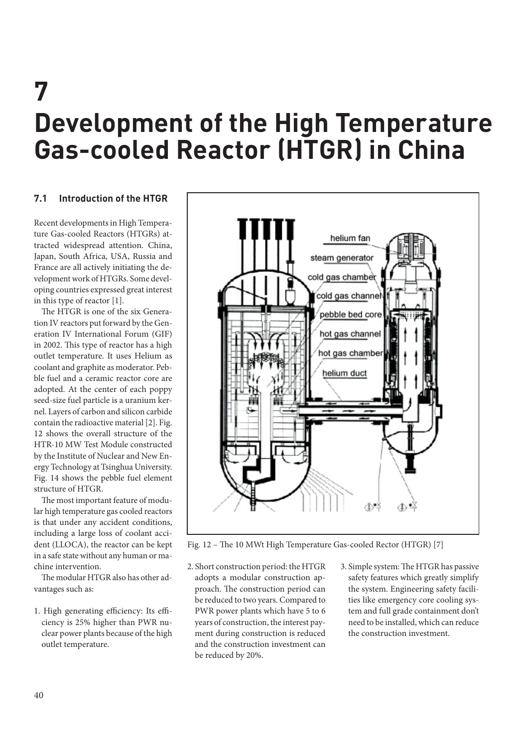# **7 Development of the High Temperature Gas-cooled Reactor (HTGR) in China**

# **7.1 Introduction of the HTGR**

Recent developments in High Temperature Gas-cooled Reactors (HTGRs) attracted widespread attention. China, Japan, South Africa, USA, Russia and France are all actively initiating the development work of HTGRs. Some developing countries expressed great interest in this type of reactor [1].

The HTGR is one of the six Generation IV reactors put forward by the Generation IV International Forum (GIF) in 2002. This type of reactor has a high outlet temperature. It uses Helium as coolant and graphite as moderator. Pebble fuel and a ceramic reactor core are adopted. At the center of each poppy seed-size fuel particle is a uranium kernel. Layers of carbon and silicon carbide contain the radioactive material [2]. Fig. 12 shows the overall structure of the HTR-10 MW Test Module constructed by the Institute of Nuclear and New Energy Technology at Tsinghua University. Fig. 14 shows the pebble fuel element structure of HTGR.

The most important feature of modular high temperature gas cooled reactors is that under any accident conditions, including a large loss of coolant accident (LLOCA), the reactor can be kept in a safe state without any human or machine intervention.

The modular HTGR also has other advantages such as:

1. High generating efficiency: Its efficiency is 25% higher than PWR nuclear power plants because of the high outlet temperature.



Fig. 12 - The 10 MWt High Temperature Gas-cooled Rector (HTGR) [7]

- 2. Short construction period: the HTGR adopts a modular construction approach. The construction period can be reduced to two years. Compared to PWR power plants which have 5 to 6 years of construction, the interest payment during construction is reduced and the construction investment can be reduced by 20%.
- 3. Simple system: The HTGR has passive safety features which greatly simplify the system. Engineering safety facilities like emergency core cooling system and full grade containment don't need to be installed, which can reduce the construction investment.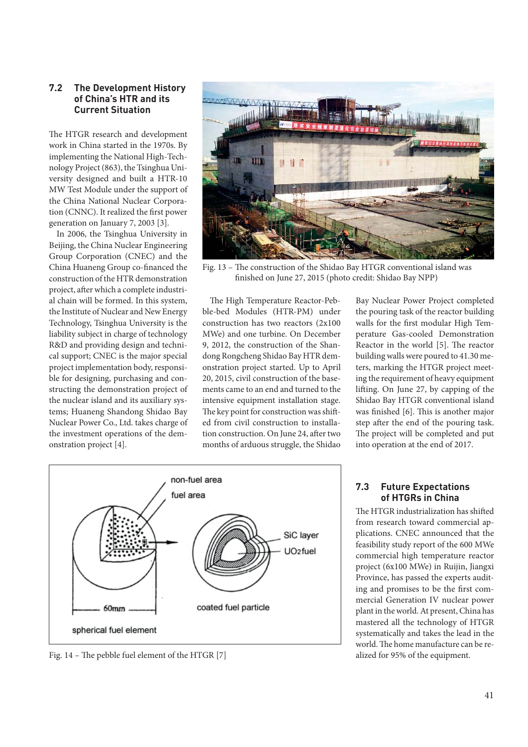#### **7.2 The Development History of China's HTR and its Current Situation**

The HTGR research and development work in China started in the 1970s. By implementing the National High-Technology Project (863), the Tsinghua University designed and built a HTR-10 MW Test Module under the support of the China National Nuclear Corporation (CNNC). It realized the first power generation on January 7, 2003 [3].

In 2006, the Tsinghua University in Beijing, the China Nuclear Engineering Group Corporation (CNEC) and the China Huaneng Group co-financed the construction of the HTR demonstration project, after which a complete industrial chain will be formed. In this system, the Institute of Nuclear and New Energy Technology, Tsinghua University is the liability subject in charge of technology R&D and providing design and technical support; CNEC is the major special project implementation body, responsible for designing, purchasing and constructing the demonstration project of the nuclear island and its auxiliary systems; Huaneng Shandong Shidao Bay Nuclear Power Co., Ltd. takes charge of the investment operations of the demonstration project [4].

![](_page_7_Picture_3.jpeg)

Fig. 13 - The construction of the Shidao Bay HTGR conventional island was finished on June 27, 2015 (photo credit: Shidao Bay NPP)

The High Temperature Reactor-Pebble-bed Modules (HTR-PM) under construction has two reactors (2x100 MWe) and one turbine. On December 9, 2012, the construction of the Shandong Rongcheng Shidao Bay HTR demonstration project started. Up to April 20, 2015, civil construction of the basements came to an end and turned to the intensive equipment installation stage. The key point for construction was shifted from civil construction to installation construction. On June 24, after two months of arduous struggle, the Shidao Bay Nuclear Power Project completed the pouring task of the reactor building walls for the first modular High Temperature Gas-cooled Demonstration Reactor in the world  $[5]$ . The reactor building walls were poured to 41.30 meters, marking the HTGR project meeting the requirement of heavy equipment lifting. On June 27, by capping of the Shidao Bay HTGR conventional island was finished [6]. This is another major step after the end of the pouring task. The project will be completed and put into operation at the end of 2017.

![](_page_7_Figure_7.jpeg)

Fig. 14 – The pebble fuel element of the HTGR [7] alized for 95% of the equipment.

#### **7.3 Future Expectations of HTGRs in China**

The HTGR industrialization has shifted from research toward commercial applications. CNEC announced that the feasibility study report of the 600 MWe commercial high temperature reactor project (6x100 MWe) in Ruijin, Jiangxi Province, has passed the experts auditing and promises to be the first commercial Generation IV nuclear power plant in the world. At present, China has mastered all the technology of HTGR systematically and takes the lead in the world. The home manufacture can be re-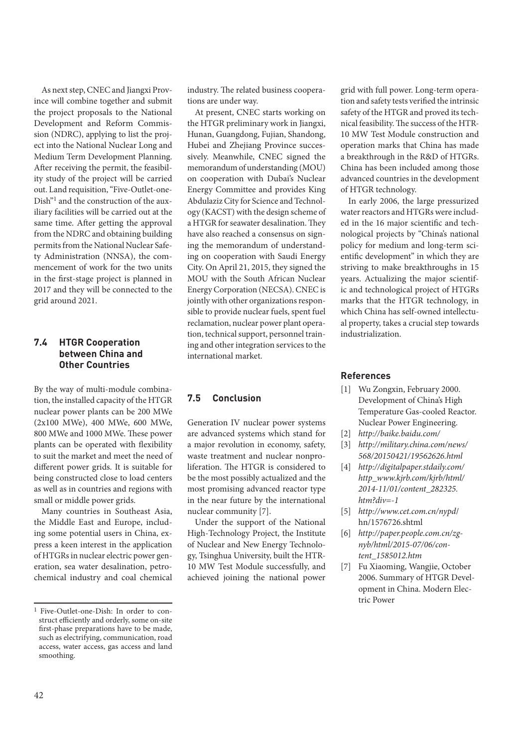As next step, CNEC and Jiangxi Province will combine together and submit the project proposals to the National Development and Reform Commission (NDRC), applying to list the project into the National Nuclear Long and Medium Term Development Planning. After receiving the permit, the feasibility study of the project will be carried out. Land requisition, "Five-Outlet-one-Dish"1 and the construction of the auxiliary facilities will be carried out at the same time. After getting the approval from the NDRC and obtaining building permits from the National Nuclear Safety Administration (NNSA), the commencement of work for the two units in the first-stage project is planned in 2017 and they will be connected to the grid around 2021.

## **7.4 HTGR Cooperation between China and Other Countries**

By the way of multi-module combination, the installed capacity of the HTGR nuclear power plants can be 200 MWe (2x100 MWe), 400 MWe, 600 MWe, 800 MWe and 1000 MWe. These power plants can be operated with flexibility to suit the market and meet the need of different power grids. It is suitable for being constructed close to load centers as well as in countries and regions with small or middle power grids.

Many countries in Southeast Asia, the Middle East and Europe, including some potential users in China, express a keen interest in the application of HTGRs in nuclear electric power generation, sea water desalination, petrochemical industry and coal chemical

industry. The related business cooperations are under way.

At present, CNEC starts working on the HTGR preliminary work in Jiangxi, Hunan, Guangdong, Fujian, Shandong, Hubei and Zhejiang Province successively. Meanwhile, CNEC signed the memorandum of understanding (MOU) on cooperation with Dubai's Nuclear Energy Committee and provides King Abdulaziz City for Science and Technology (KACST) with the design scheme of a HTGR for seawater desalination. They have also reached a consensus on signing the memorandum of understanding on cooperation with Saudi Energy City. On April 21, 2015, they signed the MOU with the South African Nuclear Energy Corporation (NECSA). CNEC is jointly with other organizations responsible to provide nuclear fuels, spent fuel reclamation, nuclear power plant operation, technical support, personnel training and other integration services to the international market.

#### **7.5 Conclusion**

Generation IV nuclear power systems are advanced systems which stand for a major revolution in economy, safety, waste treatment and nuclear nonproliferation. The HTGR is considered to be the most possibly actualized and the most promising advanced reactor type in the near future by the international nuclear community [7].

Under the support of the National High-Technology Project, the Institute of Nuclear and New Energy Technology, Tsinghua University, built the HTR-10 MW Test Module successfully, and achieved joining the national power

grid with full power. Long-term operation and safety tests verified the intrinsic safety of the HTGR and proved its technical feasibility. The success of the HTR-10 MW Test Module construction and operation marks that China has made a breakthrough in the R&D of HTGRs. China has been included among those advanced countries in the development of HTGR technology.

In early 2006, the large pressurized water reactors and HTGRs were included in the 16 major scientific and technological projects by "China's national policy for medium and long-term scientific development" in which they are striving to make breakthroughs in 15 years. Actualizing the major scientific and technological project of HTGRs marks that the HTGR technology, in which China has self-owned intellectual property, takes a crucial step towards industrialization.

#### **References**

- [1] Wu Zongxin, February 2000. Development of China's High Temperature Gas-cooled Reactor. Nuclear Power Engineering.
- [2] *http://baike.baidu.com/*
- [3] *http://military.china.com/news/ 568/20150421/19562626.html*
- [4] *http://digitalpaper.stdaily.com/ http\_www.kjrb.com/kjrb/html/ 2014-11/01/content\_282325. htm?div=-1*
- [5] *http://www.cet.com.cn/nypd*/ hn/1576726.shtml
- [6] *http://paper.people.com.cn/zgnyb/html/2015-07/06/content\_1585012.htm*
- [7] Fu Xiaoming, Wangjie, October 2006. Summary of HTGR Development in China. Modern Electric Power

<sup>1</sup> Five-Outlet-one-Dish: In order to construct efficiently and orderly, some on-site first-phase preparations have to be made, such as electrifying, communication, road access, water access, gas access and land smoothing.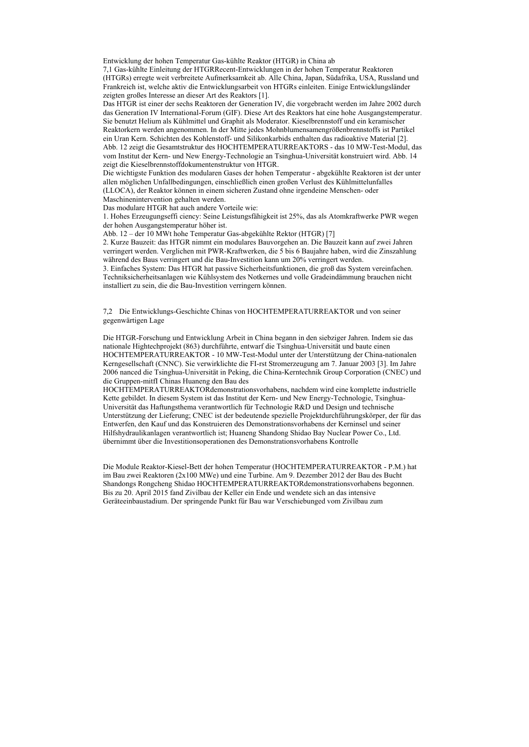Entwicklung der hohen Temperatur Gas-kühlte Reaktor (HTGR) in China ab

7,1 Gas-kühlte Einleitung der HTGRRecent-Entwicklungen in der hohen Temperatur Reaktoren (HTGRs) erregte weit verbreitete Aufmerksamkeit ab. Alle China, Japan, Südafrika, USA, Russland und Frankreich ist, welche aktiv die Entwicklungsarbeit von HTGRs einleiten. Einige Entwicklungsländer zeigten großes Interesse an dieser Art des Reaktors [1].

Das HTGR ist einer der sechs Reaktoren der Generation IV, die vorgebracht werden im Jahre 2002 durch das Generation IV International-Forum (GIF). Diese Art des Reaktors hat eine hohe Ausgangstemperatur. Sie benutzt Helium als Kühlmittel und Graphit als Moderator. Kieselbrennstoff und ein keramischer Reaktorkern werden angenommen. In der Mitte jedes Mohnblumensamengrößenbrennstoffs ist Partikel ein Uran Kern. Schichten des Kohlenstoff- und Silikonkarbids enthalten das radioaktive Material [2]. Abb. 12 zeigt die Gesamtstruktur des HOCHTEMPERATURREAKTORS - das 10 MW-Test-Modul, das vom Institut der Kern- und New Energy-Technologie an Tsinghua-Universität konstruiert wird. Abb. 14 zeigt die Kieselbrennstoffdokumentenstruktur von HTGR.

Die wichtigste Funktion des modularen Gases der hohen Temperatur - abgekühlte Reaktoren ist der unter allen möglichen Unfallbedingungen, einschließlich einen großen Verlust des Kühlmittelunfalles (LLOCA), der Reaktor können in einem sicheren Zustand ohne irgendeine Menschen- oder

Maschinenintervention gehalten werden.

Das modulare HTGR hat auch andere Vorteile wie:

1. Hohes Erzeugungseffi ciency: Seine Leistungsfähigkeit ist 25%, das als Atomkraftwerke PWR wegen der hohen Ausgangstemperatur höher ist.

Abb. 12 – der 10 MWt hohe Temperatur Gas-abgekühlte Rektor (HTGR) [7]

2. Kurze Bauzeit: das HTGR nimmt ein modulares Bauvorgehen an. Die Bauzeit kann auf zwei Jahren verringert werden. Verglichen mit PWR-Kraftwerken, die 5 bis 6 Baujahre haben, wird die Zinszahlung während des Baus verringert und die Bau-Investition kann um 20% verringert werden.

3. Einfaches System: Das HTGR hat passive Sicherheitsfunktionen, die groß das System vereinfachen. Techniksicherheitsanlagen wie Kühlsystem des Notkernes und volle Gradeindämmung brauchen nicht installiert zu sein, die die Bau-Investition verringern können.

7,2 Die Entwicklungs-Geschichte Chinas von HOCHTEMPERATURREAKTOR und von seiner gegenwärtigen Lage

Die HTGR-Forschung und Entwicklung Arbeit in China begann in den siebziger Jahren. Indem sie das nationale Hightechprojekt (863) durchführte, entwarf die Tsinghua-Universität und baute einen HOCHTEMPERATURREAKTOR - 10 MW-Test-Modul unter der Unterstützung der China-nationalen Kerngesellschaft (CNNC). Sie verwirklichte die FI-rst Stromerzeugung am 7. Januar 2003 [3]. Im Jahre 2006 nanced die Tsinghua-Universität in Peking, die China-Kerntechnik Group Corporation (CNEC) und die Gruppen-mitfI Chinas Huaneng den Bau des

HOCHTEMPERATURREAKTORdemonstrationsvorhabens, nachdem wird eine komplette industrielle Kette gebildet. In diesem System ist das Institut der Kern- und New Energy-Technologie, Tsinghua-Universität das Haftungsthema verantwortlich für Technologie R&D und Design und technische Unterstützung der Lieferung; CNEC ist der bedeutende spezielle Projektdurchführungskörper, der für das Entwerfen, den Kauf und das Konstruieren des Demonstrationsvorhabens der Kerninsel und seiner Hilfshydraulikanlagen verantwortlich ist; Huaneng Shandong Shidao Bay Nuclear Power Co., Ltd. übernimmt über die Investitionsoperationen des Demonstrationsvorhabens Kontrolle

Die Module Reaktor-Kiesel-Bett der hohen Temperatur (HOCHTEMPERATURREAKTOR - P.M.) hat im Bau zwei Reaktoren (2x100 MWe) und eine Turbine. Am 9. Dezember 2012 der Bau des Bucht Shandongs Rongcheng Shidao HOCHTEMPERATURREAKTORdemonstrationsvorhabens begonnen. Bis zu 20. April 2015 fand Zivilbau der Keller ein Ende und wendete sich an das intensive Geräteeinbaustadium. Der springende Punkt für Bau war Verschiebunged vom Zivilbau zum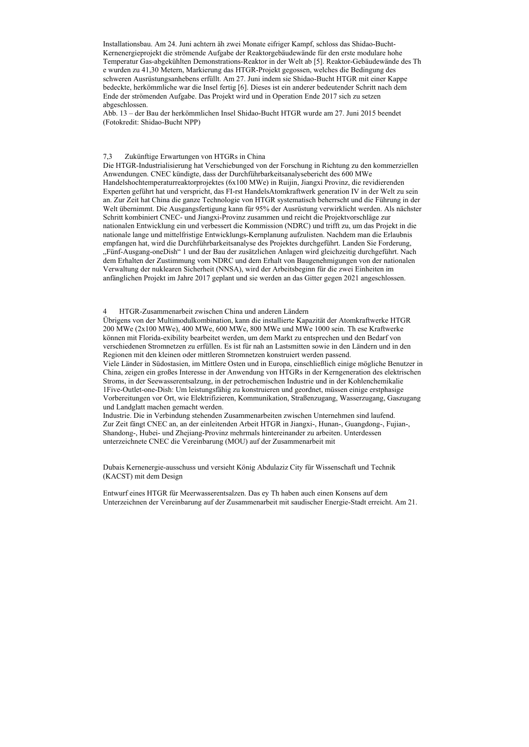Installationsbau. Am 24. Juni achtern äh zwei Monate eifriger Kampf, schloss das Shidao-Bucht-Kernenergieprojekt die strömende Aufgabe der Reaktorgebäudewände für den erste modulare hohe Temperatur Gas-abgekühlten Demonstrations-Reaktor in der Welt ab [5]. Reaktor-Gebäudewände des Th e wurden zu 41,30 Metern, Markierung das HTGR-Projekt gegossen, welches die Bedingung des schweren Ausrüstungsanhebens erfüllt. Am 27. Juni indem sie Shidao-Bucht HTGR mit einer Kappe bedeckte, herkömmliche war die Insel fertig [6]. Dieses ist ein anderer bedeutender Schritt nach dem Ende der strömenden Aufgabe. Das Projekt wird und in Operation Ende 2017 sich zu setzen abgeschlossen.

Abb. 13 – der Bau der herkömmlichen Insel Shidao-Bucht HTGR wurde am 27. Juni 2015 beendet (Fotokredit: Shidao-Bucht NPP)

## 7,3 Zukünftige Erwartungen von HTGRs in China

Die HTGR-Industrialisierung hat Verschiebunged von der Forschung in Richtung zu den kommerziellen Anwendungen. CNEC kündigte, dass der Durchführbarkeitsanalysebericht des 600 MWe Handelshochtemperaturreaktorprojektes (6x100 MWe) in Ruijin, Jiangxi Provinz, die revidierenden Experten geführt hat und verspricht, das FI-rst HandelsAtomkraftwerk generation IV in der Welt zu sein an. Zur Zeit hat China die ganze Technologie von HTGR systematisch beherrscht und die Führung in der Welt übernimmt. Die Ausgangsfertigung kann für 95% der Ausrüstung verwirklicht werden. Als nächster Schritt kombiniert CNEC- und Jiangxi-Provinz zusammen und reicht die Projektvorschläge zur nationalen Entwicklung ein und verbessert die Kommission (NDRC) und trifft zu, um das Projekt in die nationale lange und mittelfristige Entwicklungs-Kernplanung aufzulisten. Nachdem man die Erlaubnis empfangen hat, wird die Durchführbarkeitsanalyse des Projektes durchgeführt. Landen Sie Forderung, "Fünf-Ausgang-oneDish" 1 und der Bau der zusätzlichen Anlagen wird gleichzeitig durchgeführt. Nach dem Erhalten der Zustimmung vom NDRC und dem Erhalt von Baugenehmigungen von der nationalen Verwaltung der nuklearen Sicherheit (NNSA), wird der Arbeitsbeginn für die zwei Einheiten im anfänglichen Projekt im Jahre 2017 geplant und sie werden an das Gitter gegen 2021 angeschlossen.

4 HTGR-Zusammenarbeit zwischen China und anderen Ländern

Übrigens von der Multimodulkombination, kann die installierte Kapazität der Atomkraftwerke HTGR 200 MWe (2x100 MWe), 400 MWe, 600 MWe, 800 MWe und MWe 1000 sein. Th ese Kraftwerke können mit Florida-exibility bearbeitet werden, um dem Markt zu entsprechen und den Bedarf von verschiedenen Stromnetzen zu erfüllen. Es ist für nah an Lastsmitten sowie in den Ländern und in den Regionen mit den kleinen oder mittleren Stromnetzen konstruiert werden passend.

Viele Länder in Südostasien, im Mittlere Osten und in Europa, einschließlich einige mögliche Benutzer in China, zeigen ein großes Interesse in der Anwendung von HTGRs in der Kerngeneration des elektrischen Stroms, in der Seewasserentsalzung, in der petrochemischen Industrie und in der Kohlenchemikalie 1Five-Outlet-one-Dish: Um leistungsfähig zu konstruieren und geordnet, müssen einige erstphasige Vorbereitungen vor Ort, wie Elektrifizieren, Kommunikation, Straßenzugang, Wasserzugang, Gaszugang und Landglatt machen gemacht werden.

Industrie. Die in Verbindung stehenden Zusammenarbeiten zwischen Unternehmen sind laufend. Zur Zeit fängt CNEC an, an der einleitenden Arbeit HTGR in Jiangxi-, Hunan-, Guangdong-, Fujian-, Shandong-, Hubei- und Zhejiang-Provinz mehrmals hintereinander zu arbeiten. Unterdessen unterzeichnete CNEC die Vereinbarung (MOU) auf der Zusammenarbeit mit

Dubais Kernenergie-ausschuss und versieht König Abdulaziz City für Wissenschaft und Technik (KACST) mit dem Design

Entwurf eines HTGR für Meerwasserentsalzen. Das ey Th haben auch einen Konsens auf dem Unterzeichnen der Vereinbarung auf der Zusammenarbeit mit saudischer Energie-Stadt erreicht. Am 21.